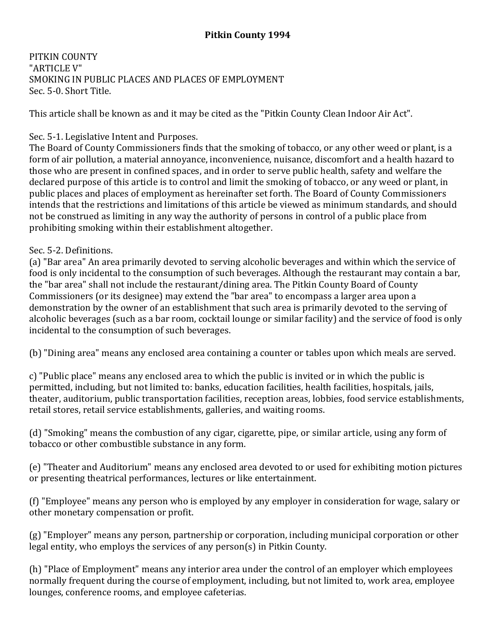PITKIN COUNTY "ARTICLE V" SMOKING IN PUBLIC PLACES AND PLACES OF EMPLOYMENT Sec. 5-0. Short Title.

This article shall be known as and it may be cited as the "Pitkin County Clean Indoor Air Act".

# Sec. 5-1. Legislative Intent and Purposes.

The Board of County Commissioners finds that the smoking of tobacco, or any other weed or plant, is a form of air pollution, a material annoyance, inconvenience, nuisance, discomfort and a health hazard to those who are present in confined spaces, and in order to serve public health, safety and welfare the declared purpose of this article is to control and limit the smoking of tobacco, or any weed or plant, in public places and places of employment as hereinafter set forth. The Board of County Commissioners intends that the restrictions and limitations of this article be viewed as minimum standards, and should not be construed as limiting in any way the authority of persons in control of a public place from prohibiting smoking within their establishment altogether.

## Sec. 5-2. Definitions.

(a) "Bar area" An area primarily devoted to serving alcoholic beverages and within which the service of food is only incidental to the consumption of such beverages. Although the restaurant may contain a bar, the "bar area" shall not include the restaurant/dining area. The Pitkin County Board of County Commissioners (or its designee) may extend the "bar area" to encompass a larger area upon a demonstration by the owner of an establishment that such area is primarily devoted to the serving of alcoholic beverages (such as a bar room, cocktail lounge or similar facility) and the service of food is only incidental to the consumption of such beverages.

(b) "Dining area" means any enclosed area containing a counter or tables upon which meals are served.

c) "Public place" means any enclosed area to which the public is invited or in which the public is permitted, including, but not limited to: banks, education facilities, health facilities, hospitals, jails, theater, auditorium, public transportation facilities, reception areas, lobbies, food service establishments, retail stores, retail service establishments, galleries, and waiting rooms.

(d) "Smoking" means the combustion of any cigar, cigarette, pipe, or similar article, using any form of tobacco or other combustible substance in any form.

(e) "Theater and Auditorium" means any enclosed area devoted to or used for exhibiting motion pictures or presenting theatrical performances, lectures or like entertainment.

(f) "Employee" means any person who is employed by any employer in consideration for wage, salary or other monetary compensation or profit.

(g) "Employer" means any person, partnership or corporation, including municipal corporation or other legal entity, who employs the services of any person(s) in Pitkin County.

(h) "Place of Employment" means any interior area under the control of an employer which employees normally frequent during the course of employment, including, but not limited to, work area, employee lounges, conference rooms, and employee cafeterias.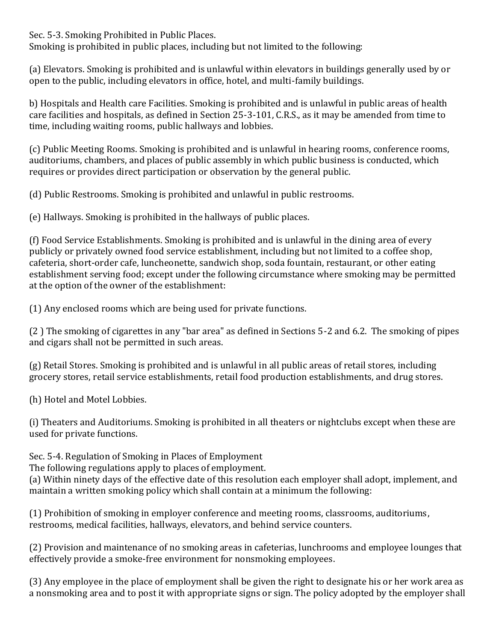Sec. 5-3. Smoking Prohibited in Public Places.

Smoking is prohibited in public places, including but not limited to the following:

(a) Elevators. Smoking is prohibited and is unlawful within elevators in buildings generally used by or open to the public, including elevators in office, hotel, and multi-family buildings.

b) Hospitals and Health care Facilities. Smoking is prohibited and is unlawful in public areas of health care facilities and hospitals, as defined in Section 25-3-101, C.R.S., as it may be amended from time to time, including waiting rooms, public hallways and lobbies.

(c) Public Meeting Rooms. Smoking is prohibited and is unlawful in hearing rooms, conference rooms, auditoriums, chambers, and places of public assembly in which public business is conducted, which requires or provides direct participation or observation by the general public.

(d) Public Restrooms. Smoking is prohibited and unlawful in public restrooms.

(e) Hallways. Smoking is prohibited in the hallways of public places.

(f) Food Service Establishments. Smoking is prohibited and is unlawful in the dining area of every publicly or privately owned food service establishment, including but not limited to a coffee shop, cafeteria, short-order cafe, luncheonette, sandwich shop, soda fountain, restaurant, or other eating establishment serving food; except under the following circumstance where smoking may be permitted at the option of the owner of the establishment:

(1) Any enclosed rooms which are being used for private functions.

(2 ) The smoking of cigarettes in any "bar area" as defined in Sections 5-2 and 6.2. The smoking of pipes and cigars shall not be permitted in such areas.

(g) Retail Stores. Smoking is prohibited and is unlawful in all public areas of retail stores, including grocery stores, retail service establishments, retail food production establishments, and drug stores.

(h) Hotel and Motel Lobbies.

(i) Theaters and Auditoriums. Smoking is prohibited in all theaters or nightclubs except when these are used for private functions.

Sec. 5-4. Regulation of Smoking in Places of Employment

The following regulations apply to places of employment.

(a) Within ninety days of the effective date of this resolution each employer shall adopt, implement, and maintain a written smoking policy which shall contain at a minimum the following:

(1) Prohibition of smoking in employer conference and meeting rooms, classrooms, auditoriums, restrooms, medical facilities, hallways, elevators, and behind service counters.

(2) Provision and maintenance of no smoking areas in cafeterias, lunchrooms and employee lounges that effectively provide a smoke-free environment for nonsmoking employees.

(3) Any employee in the place of employment shall be given the right to designate his or her work area as a nonsmoking area and to post it with appropriate signs or sign. The policy adopted by the employer shall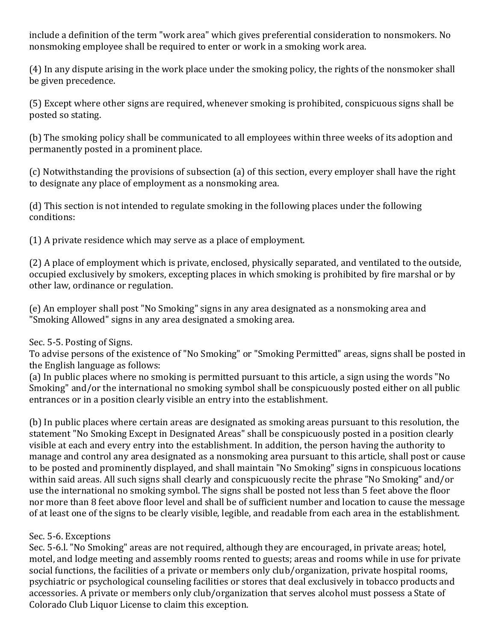include a definition of the term "work area" which gives preferential consideration to nonsmokers. No nonsmoking employee shall be required to enter or work in a smoking work area.

(4) In any dispute arising in the work place under the smoking policy, the rights of the nonsmoker shall be given precedence.

(5) Except where other signs are required, whenever smoking is prohibited, conspicuous signs shall be posted so stating.

(b) The smoking policy shall be communicated to all employees within three weeks of its adoption and permanently posted in a prominent place.

(c) Notwithstanding the provisions of subsection (a) of this section, every employer shall have the right to designate any place of employment as a nonsmoking area.

(d) This section is not intended to regulate smoking in the following places under the following conditions:

(1) A private residence which may serve as a place of employment.

(2) A place of employment which is private, enclosed, physically separated, and ventilated to the outside, occupied exclusively by smokers, excepting places in which smoking is prohibited by fire marshal or by other law, ordinance or regulation.

(e) An employer shall post "No Smoking" signs in any area designated as a nonsmoking area and "Smoking Allowed" signs in any area designated a smoking area.

## Sec. 5-5. Posting of Signs.

To advise persons of the existence of "No Smoking" or "Smoking Permitted" areas, signs shall be posted in the English language as follows:

(a) In public places where no smoking is permitted pursuant to this article, a sign using the words "No Smoking" and/or the international no smoking symbol shall be conspicuously posted either on all public entrances or in a position clearly visible an entry into the establishment.

(b) In public places where certain areas are designated as smoking areas pursuant to this resolution, the statement "No Smoking Except in Designated Areas" shall be conspicuously posted in a position clearly visible at each and every entry into the establishment. In addition, the person having the authority to manage and control any area designated as a nonsmoking area pursuant to this article, shall post or cause to be posted and prominently displayed, and shall maintain "No Smoking" signs in conspicuous locations within said areas. All such signs shall clearly and conspicuously recite the phrase "No Smoking" and/or use the international no smoking symbol. The signs shall be posted not less than 5 feet above the floor nor more than 8 feet above floor level and shall be of sufficient number and location to cause the message of at least one of the signs to be clearly visible, legible, and readable from each area in the establishment.

#### Sec. 5-6. Exceptions

Sec. 5-6.l. "No Smoking" areas are not required, although they are encouraged, in private areas; hotel, motel, and lodge meeting and assembly rooms rented to guests; areas and rooms while in use for private social functions, the facilities of a private or members only club/organization, private hospital rooms, psychiatric or psychological counseling facilities or stores that deal exclusively in tobacco products and accessories. A private or members only club/organization that serves alcohol must possess a State of Colorado Club Liquor License to claim this exception.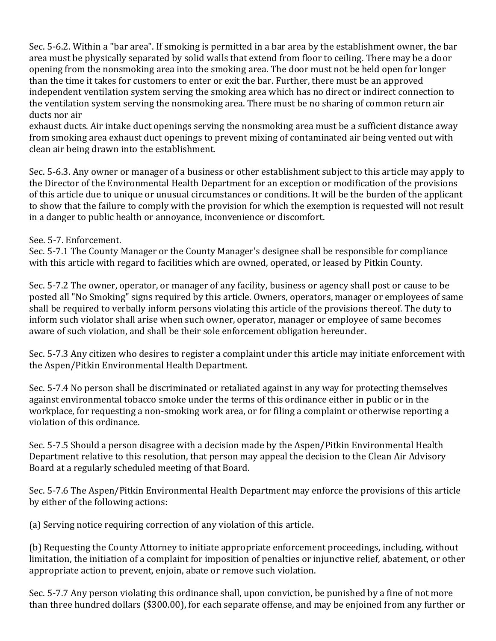Sec. 5-6.2. Within a "bar area". If smoking is permitted in a bar area by the establishment owner, the bar area must be physically separated by solid walls that extend from floor to ceiling. There may be a door opening from the nonsmoking area into the smoking area. The door must not be held open for longer than the time it takes for customers to enter or exit the bar. Further, there must be an approved independent ventilation system serving the smoking area which has no direct or indirect connection to the ventilation system serving the nonsmoking area. There must be no sharing of common return air ducts nor air

exhaust ducts. Air intake duct openings serving the nonsmoking area must be a sufficient distance away from smoking area exhaust duct openings to prevent mixing of contaminated air being vented out with clean air being drawn into the establishment.

Sec. 5-6.3. Any owner or manager of a business or other establishment subject to this article may apply to the Director of the Environmental Health Department for an exception or modification of the provisions of this article due to unique or unusual circumstances or conditions. It will be the burden of the applicant to show that the failure to comply with the provision for which the exemption is requested will not result in a danger to public health or annoyance, inconvenience or discomfort.

## See. 5-7. Enforcement.

Sec. 5-7.1 The County Manager or the County Manager's designee shall be responsible for compliance with this article with regard to facilities which are owned, operated, or leased by Pitkin County.

Sec. 5-7.2 The owner, operator, or manager of any facility, business or agency shall post or cause to be posted all "No Smoking" signs required by this article. Owners, operators, manager or employees of same shall be required to verbally inform persons violating this article of the provisions thereof. The duty to inform such violator shall arise when such owner, operator, manager or employee of same becomes aware of such violation, and shall be their sole enforcement obligation hereunder.

Sec. 5-7.3 Any citizen who desires to register a complaint under this article may initiate enforcement with the Aspen/Pitkin Environmental Health Department.

Sec. 5-7.4 No person shall be discriminated or retaliated against in any way for protecting themselves against environmental tobacco smoke under the terms of this ordinance either in public or in the workplace, for requesting a non-smoking work area, or for filing a complaint or otherwise reporting a violation of this ordinance.

Sec. 5-7.5 Should a person disagree with a decision made by the Aspen/Pitkin Environmental Health Department relative to this resolution, that person may appeal the decision to the Clean Air Advisory Board at a regularly scheduled meeting of that Board.

Sec. 5-7.6 The Aspen/Pitkin Environmental Health Department may enforce the provisions of this article by either of the following actions:

(a) Serving notice requiring correction of any violation of this article.

(b) Requesting the County Attorney to initiate appropriate enforcement proceedings, including, without limitation, the initiation of a complaint for imposition of penalties or injunctive relief, abatement, or other appropriate action to prevent, enjoin, abate or remove such violation.

Sec. 5-7.7 Any person violating this ordinance shall, upon conviction, be punished by a fine of not more than three hundred dollars (\$300.00), for each separate offense, and may be enjoined from any further or